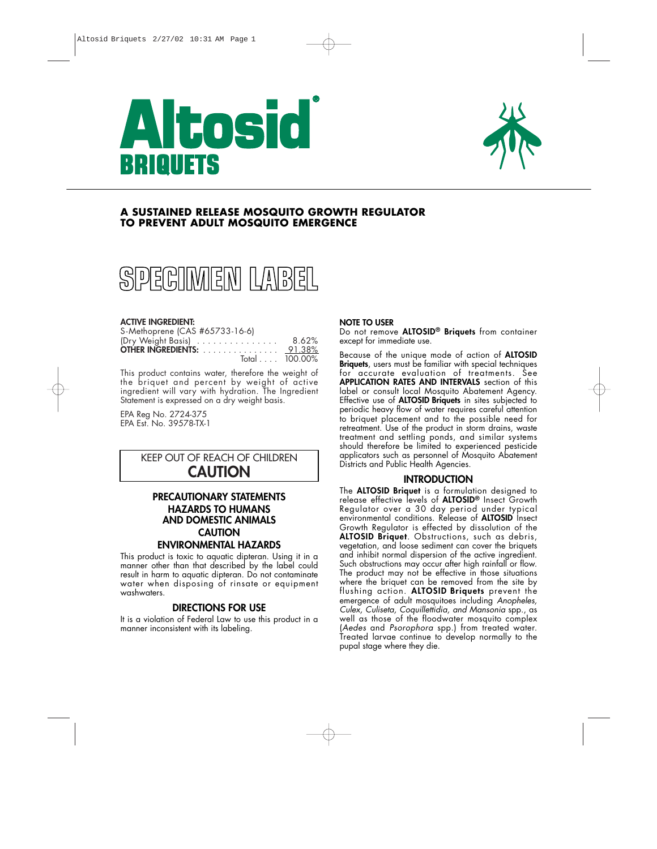



# **A SUSTAINED RELEASE MOSQUITO GROWTH REGULATOR TO PREVENT ADULT MOSQUITO EMERGENCE**



#### **ACTIVE INGREDIENT:**

| S-Methoprene (CAS #65733-16-6)   |       |
|----------------------------------|-------|
| (Dry Weight Basis)               | 8.62% |
| <b>OTHER INGREDIENTS:</b> 91.38% |       |
| $Total \dots 100.00\%$           |       |

This product contains water, therefore the weight of the briquet and percent by weight of active ingredient will vary with hydration. The Ingredient Statement is expressed on a dry weight basis.

EPA Reg No. 2724-375 EPA Est. No. 39578-TX-1

# KEEP OUT OF REACH OF CHILDREN **CAUTION**

# **PRECAUTIONARY STATEMENTS HAZARDS TO HUMANS AND DOMESTIC ANIMALS CAUTION ENVIRONMENTAL HAZARDS**

This product is toxic to aquatic dipteran. Using it in a manner other than that described by the label could result in harm to aquatic dipteran. Do not contaminate water when disposing of rinsate or equipment washwaters.

## **DIRECTIONS FOR USE**

It is a violation of Federal Law to use this product in a manner inconsistent with its labeling.

## **NOTE TO USER**

Do not remove **ALTOSID® Briquets** from container except for immediate use.

Because of the unique mode of action of **ALTOSID Briquets**, users must be familiar with special techniques for accurate evaluation of treatments. See **APPLICATION RATES AND INTERVALS** section of this label or consult local Mosquito Abatement Agency. Effective use of **ALTOSID Briquets** in sites subjected to periodic heavy flow of water requires careful attention to briquet placement and to the possible need for retreatment. Use of the product in storm drains, waste treatment and settling ponds, and similar systems should therefore be limited to experienced pesticide applicators such as personnel of Mosquito Abatement Districts and Public Health Agencies.

# **INTRODUCTION**

The **ALTOSID Briquet** is a formulation designed to release effective levels of **ALTOSID®** Insect Growth Regulator over a 30 day period under typical environmental conditions. Release of **ALTOSID** Insect Growth Regulator is effected by dissolution of the ALTOSID Briquet. Obstructions, such as debris, vegetation, and loose sediment can cover the briquets and inhibit normal dispersion of the active ingredient. Such obstructions may occur after high rainfall or flow. The product may not be effective in those situations where the briquet can be removed from the site by flushing action. **ALTOSID Briquets** prevent the emergence of adult mosquitoes including *Anopheles, Culex, Culiseta, Coquillettidia, and Mansonia* spp., as well as those of the floodwater mosquito complex (*Aedes* and *Psorophora* spp.) from treated water. Treated larvae continue to develop normally to the pupal stage where they die.